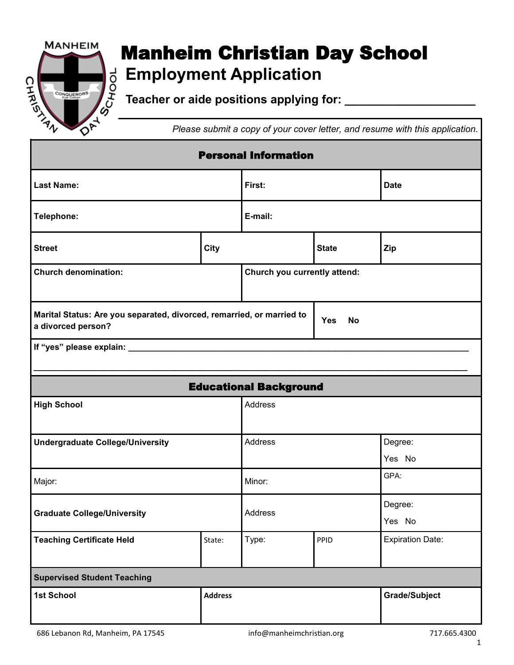

## **Manheim Christian Day School**<br> $\begin{bmatrix} 1 & 0 & 0 \\ 0 & 0 & 0 \\ 0 & 0 & 0 \\ 0 & 0 & 0 \end{bmatrix}$  Teacher or aide positions applying for: **Employment Application**

**Teacher or aide positions applying for: \_\_\_\_\_\_\_\_\_\_\_\_\_\_\_\_\_\_\_\_**

*Please submit a copy of your cover letter, and resume with this application.*

| <b>Personal Information</b>                                                                 |                           |                         |                              |                         |  |  |  |  |
|---------------------------------------------------------------------------------------------|---------------------------|-------------------------|------------------------------|-------------------------|--|--|--|--|
| <b>Last Name:</b>                                                                           |                           | First:                  |                              | <b>Date</b>             |  |  |  |  |
| Telephone:                                                                                  | E-mail:                   |                         |                              |                         |  |  |  |  |
| <b>Street</b>                                                                               | <b>City</b>               |                         | <b>State</b>                 | Zip                     |  |  |  |  |
| <b>Church denomination:</b>                                                                 |                           |                         | Church you currently attend: |                         |  |  |  |  |
| Marital Status: Are you separated, divorced, remarried, or married to<br>a divorced person? |                           | <b>Yes</b><br><b>No</b> |                              |                         |  |  |  |  |
|                                                                                             |                           |                         |                              |                         |  |  |  |  |
| <b>Educational Background</b>                                                               |                           |                         |                              |                         |  |  |  |  |
| <b>High School</b>                                                                          |                           | Address                 |                              |                         |  |  |  |  |
| <b>Undergraduate College/University</b>                                                     |                           | Address                 |                              | Degree:<br>Yes No       |  |  |  |  |
| Major:                                                                                      |                           | Minor:                  |                              | GPA:                    |  |  |  |  |
| <b>Graduate College/University</b>                                                          |                           | Address                 |                              | Degree:<br>Yes No       |  |  |  |  |
| <b>Teaching Certificate Held</b>                                                            | State:                    | Type:                   | PPID                         | <b>Expiration Date:</b> |  |  |  |  |
| <b>Supervised Student Teaching</b>                                                          |                           |                         |                              |                         |  |  |  |  |
| 1st School                                                                                  | <b>Address</b>            |                         |                              | <b>Grade/Subject</b>    |  |  |  |  |
| 686 Lebanon Rd, Manheim, PA 17545                                                           | info@manheimchristian.org |                         |                              | 717.665.4300            |  |  |  |  |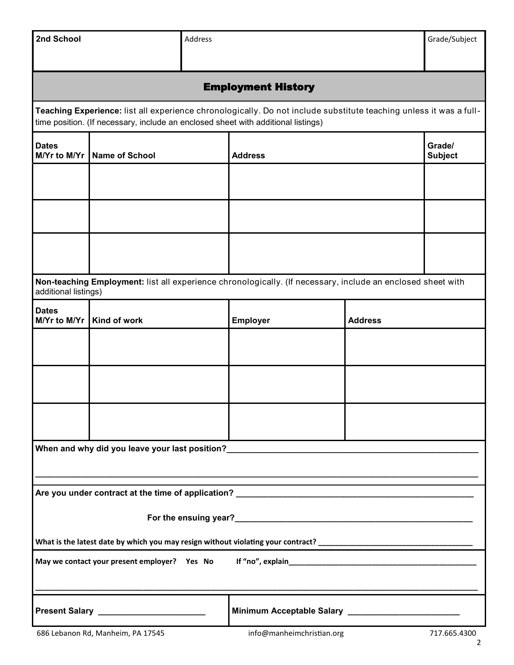| 2nd School                                                                                                                                                                                              | Address                                                                                                                             |  |                                                       | Grade/Subject            |                   |  |  |  |  |
|---------------------------------------------------------------------------------------------------------------------------------------------------------------------------------------------------------|-------------------------------------------------------------------------------------------------------------------------------------|--|-------------------------------------------------------|--------------------------|-------------------|--|--|--|--|
| <b>Employment History</b>                                                                                                                                                                               |                                                                                                                                     |  |                                                       |                          |                   |  |  |  |  |
| Teaching Experience: list all experience chronologically. Do not include substitute teaching unless it was a full-<br>time position. (If necessary, include an enclosed sheet with additional listings) |                                                                                                                                     |  |                                                       |                          |                   |  |  |  |  |
| <b>Dates</b><br>M/Yr to M/Yr                                                                                                                                                                            | <b>Name of School</b>                                                                                                               |  | <b>Address</b>                                        | Grade/<br><b>Subject</b> |                   |  |  |  |  |
|                                                                                                                                                                                                         |                                                                                                                                     |  |                                                       |                          |                   |  |  |  |  |
|                                                                                                                                                                                                         |                                                                                                                                     |  |                                                       |                          |                   |  |  |  |  |
|                                                                                                                                                                                                         |                                                                                                                                     |  |                                                       |                          |                   |  |  |  |  |
|                                                                                                                                                                                                         | Non-teaching Employment: list all experience chronologically. (If necessary, include an enclosed sheet with<br>additional listings) |  |                                                       |                          |                   |  |  |  |  |
| <b>Dates</b><br>M/Yr to M/Yr                                                                                                                                                                            | Kind of work                                                                                                                        |  | <b>Employer</b>                                       | <b>Address</b>           |                   |  |  |  |  |
|                                                                                                                                                                                                         |                                                                                                                                     |  |                                                       |                          |                   |  |  |  |  |
|                                                                                                                                                                                                         |                                                                                                                                     |  |                                                       |                          |                   |  |  |  |  |
|                                                                                                                                                                                                         |                                                                                                                                     |  |                                                       |                          |                   |  |  |  |  |
| When and why did you leave your last position?__________________________________                                                                                                                        |                                                                                                                                     |  |                                                       |                          |                   |  |  |  |  |
|                                                                                                                                                                                                         |                                                                                                                                     |  |                                                       |                          |                   |  |  |  |  |
|                                                                                                                                                                                                         |                                                                                                                                     |  |                                                       |                          |                   |  |  |  |  |
| What is the latest date by which you may resign without violating your contract?                                                                                                                        |                                                                                                                                     |  |                                                       |                          |                   |  |  |  |  |
|                                                                                                                                                                                                         |                                                                                                                                     |  |                                                       |                          |                   |  |  |  |  |
|                                                                                                                                                                                                         | Present Salary _______________________                                                                                              |  | Minimum Acceptable Salary ___________________________ |                          |                   |  |  |  |  |
|                                                                                                                                                                                                         | 686 Lebanon Rd, Manheim, PA 17545                                                                                                   |  | info@manheimchristian.org                             |                          | 717.665.4300<br>2 |  |  |  |  |